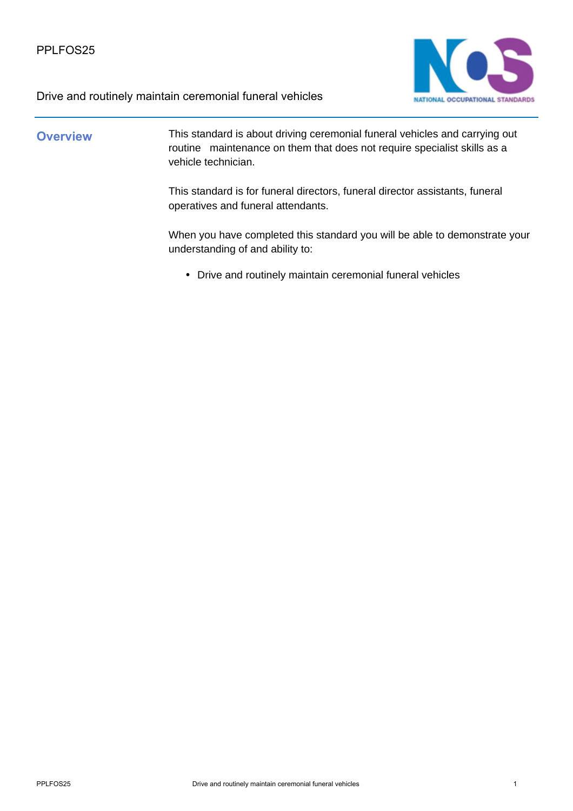

# **Overview** This standard is about driving ceremonial funeral vehicles and carrying out routine maintenance on them that does not require specialist skills as a vehicle technician. This standard is for funeral directors, funeral director assistants, funeral operatives and funeral attendants.

When you have completed this standard you will be able to demonstrate your understanding of and ability to:

• Drive and routinely maintain ceremonial funeral vehicles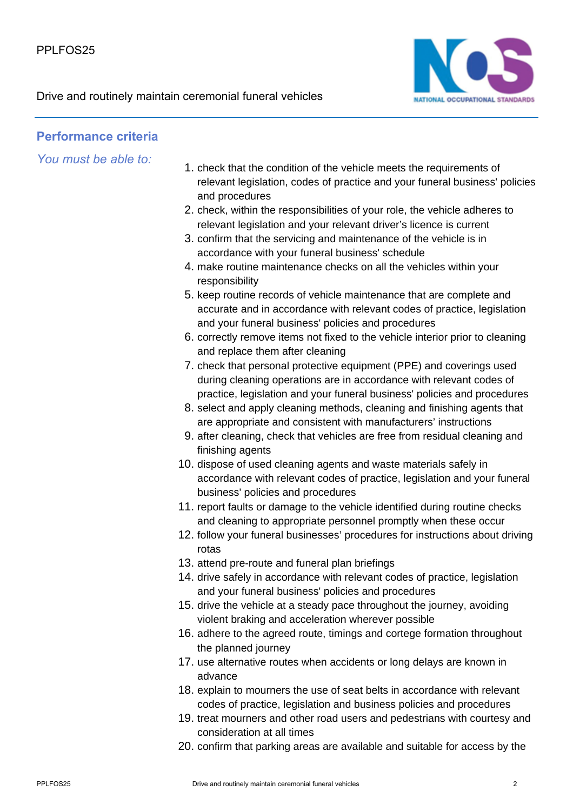

### **Performance criteria**

*You must be able to:*

- 1. check that the condition of the vehicle meets the requirements of relevant legislation, codes of practice and your funeral business' policies and procedures
- 2. check, within the responsibilities of your role, the vehicle adheres to relevant legislation and your relevant driver's licence is current
- 3. confirm that the servicing and maintenance of the vehicle is in accordance with your funeral business' schedule
- 4. make routine maintenance checks on all the vehicles within your responsibility
- 5. keep routine records of vehicle maintenance that are complete and accurate and in accordance with relevant codes of practice, legislation and your funeral business' policies and procedures
- 6. correctly remove items not fixed to the vehicle interior prior to cleaning and replace them after cleaning
- 7. check that personal protective equipment (PPE) and coverings used during cleaning operations are in accordance with relevant codes of practice, legislation and your funeral business' policies and procedures
- 8. select and apply cleaning methods, cleaning and finishing agents that are appropriate and consistent with manufacturers' instructions
- 9. after cleaning, check that vehicles are free from residual cleaning and finishing agents
- 10. dispose of used cleaning agents and waste materials safely in accordance with relevant codes of practice, legislation and your funeral business' policies and procedures
- 11. report faults or damage to the vehicle identified during routine checks and cleaning to appropriate personnel promptly when these occur
- 12. follow your funeral businesses' procedures for instructions about driving rotas
- 13. attend pre-route and funeral plan briefings
- 14. drive safely in accordance with relevant codes of practice, legislation and your funeral business' policies and procedures
- 15. drive the vehicle at a steady pace throughout the journey, avoiding violent braking and acceleration wherever possible
- 16. adhere to the agreed route, timings and cortege formation throughout the planned journey
- 17. use alternative routes when accidents or long delays are known in advance
- 18. explain to mourners the use of seat belts in accordance with relevant codes of practice, legislation and business policies and procedures
- 19. treat mourners and other road users and pedestrians with courtesy and consideration at all times
- 20. confirm that parking areas are available and suitable for access by the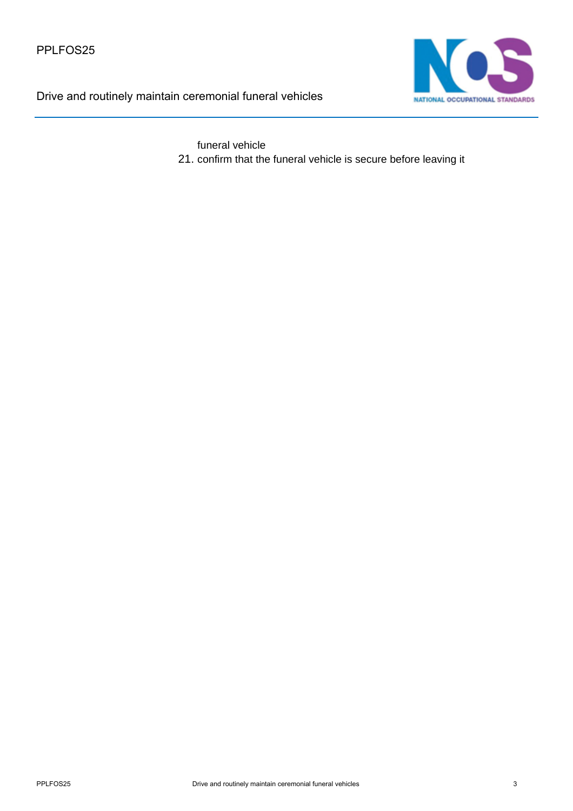

funeral vehicle

21. confirm that the funeral vehicle is secure before leaving it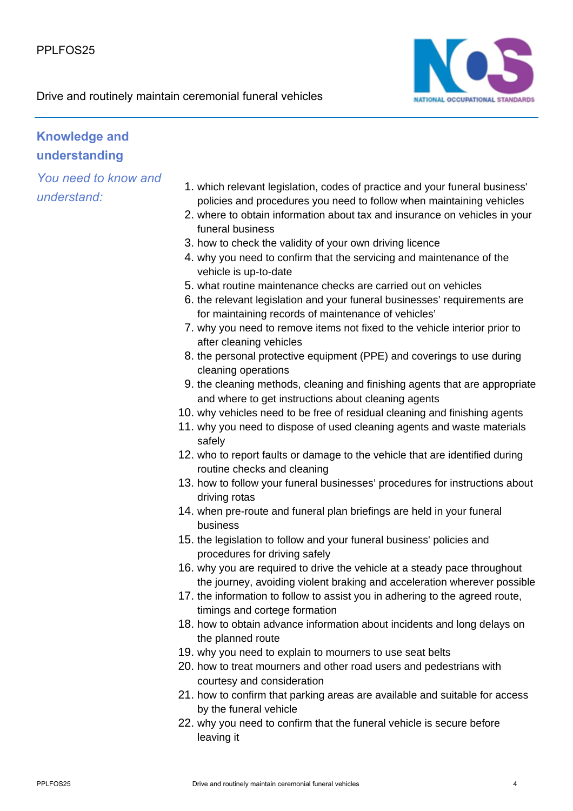

## **Knowledge and understanding**

*You need to know and understand:*

- 1. which relevant legislation, codes of practice and your funeral business' policies and procedures you need to follow when maintaining vehicles
- 2. where to obtain information about tax and insurance on vehicles in your funeral business
- 3. how to check the validity of your own driving licence
- 4. why you need to confirm that the servicing and maintenance of the vehicle is up-to-date
- 5. what routine maintenance checks are carried out on vehicles
- 6. the relevant legislation and your funeral businesses' requirements are for maintaining records of maintenance of vehicles'
- 7. why you need to remove items not fixed to the vehicle interior prior to after cleaning vehicles
- 8. the personal protective equipment (PPE) and coverings to use during cleaning operations
- 9. the cleaning methods, cleaning and finishing agents that are appropriate and where to get instructions about cleaning agents
- 10. why vehicles need to be free of residual cleaning and finishing agents
- 11. why you need to dispose of used cleaning agents and waste materials safely
- 12. who to report faults or damage to the vehicle that are identified during routine checks and cleaning
- 13. how to follow your funeral businesses' procedures for instructions about driving rotas
- 14. when pre-route and funeral plan briefings are held in your funeral business
- 15. the legislation to follow and your funeral business' policies and procedures for driving safely
- 16. why you are required to drive the vehicle at a steady pace throughout the journey, avoiding violent braking and acceleration wherever possible
- 17. the information to follow to assist you in adhering to the agreed route, timings and cortege formation
- 18. how to obtain advance information about incidents and long delays on the planned route
- 19. why you need to explain to mourners to use seat belts
- 20. how to treat mourners and other road users and pedestrians with courtesy and consideration
- 21. how to confirm that parking areas are available and suitable for access by the funeral vehicle
- 22. why you need to confirm that the funeral vehicle is secure before leaving it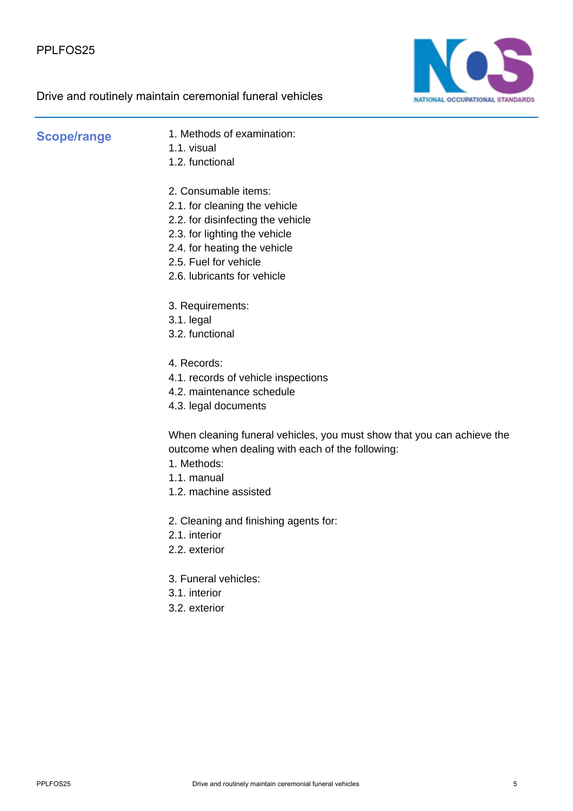

**Scope/range** 1. Methods of examination: 1.1. visual

- 1.2. functional
- 2. Consumable items:
- 2.1. for cleaning the vehicle
- 2.2. for disinfecting the vehicle
- 2.3. for lighting the vehicle
- 2.4. for heating the vehicle
- 2.5. Fuel for vehicle
- 2.6. lubricants for vehicle
- 3. Requirements:
- 3.1. legal
- 3.2. functional
- 4. Records:
- 4.1. records of vehicle inspections
- 4.2. maintenance schedule
- 4.3. legal documents

When cleaning funeral vehicles, you must show that you can achieve the outcome when dealing with each of the following:

- 1. Methods:
- 1.1. manual
- 1.2. machine assisted
- 2. Cleaning and finishing agents for:
- 2.1. interior
- 2.2. exterior
- 3. Funeral vehicles:
- 3.1. interior
- 3.2. exterior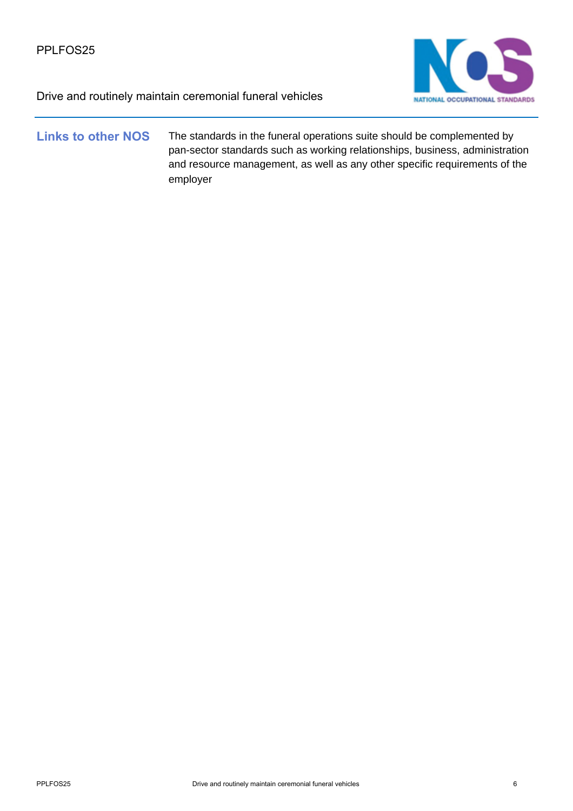

### **Links to other NOS** The standards in the funeral operations suite should be complemented by pan-sector standards such as working relationships, business, administration and resource management, as well as any other specific requirements of the employer